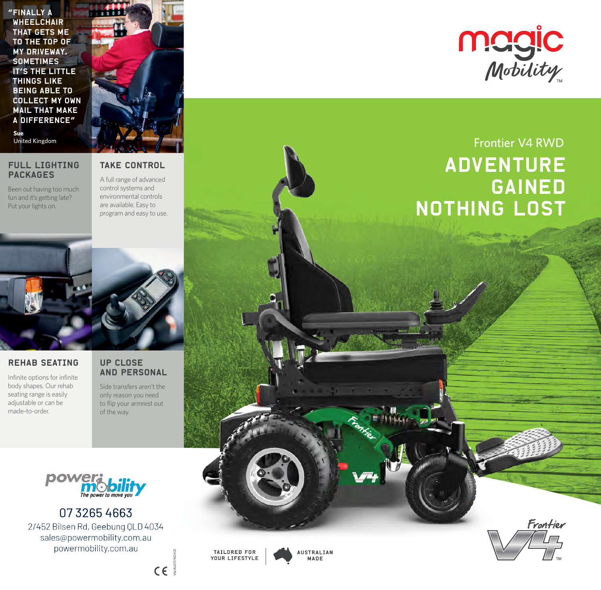"Finally a **WHEELCHAIR** that gets me to the top of my driveway. **SOMETIMES** it's the little things like being able to collect my own mail that make a difference" **Sue**<br>United Kingdom

### FULL LIGHTING PACKAGES

Been out having too much fun and it's getting late? Put your lights on.

TAKE CONTROL

A full range of advanced control systems and environmental controls are available. Easy to program and easy to use.



# REHAB SEATING

Infinite options for infinite body shapes. Our rehab seating range is easily adjustable or can be made-to-order.

## UP CLOSE AND PERSONAL

Side transfers aren't the only reason you need to flip your armrest out of the way.



0732654663 2/452 Bilsen Rd, Geebung QLD 4034 sales@powermobility.com.au powermobility.com.au



V6/AUST/NOV21

 $C \in \mathbb{R}$ 

TAILORED FOR YOUR LIFESTYLE **AUSTRALIAN** MADE



# Frontier V4 RWD **ADVENTURE** gained **NOTHING LOST**